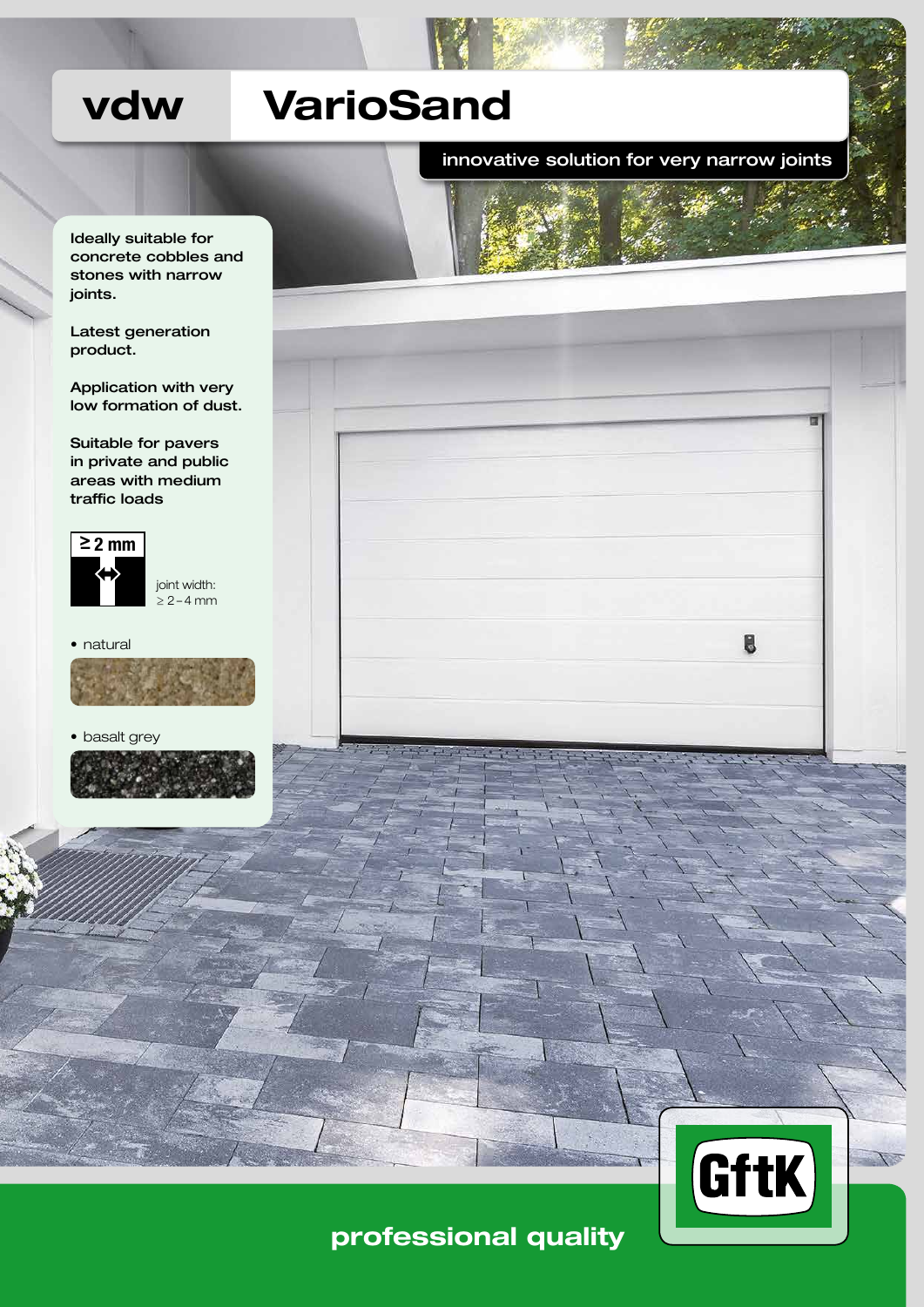# vdw VarioSand

innovative solution for very narrow joints

Ideally suitable for concrete cobbles and stones with narrow joints.

Latest generation product.

Application with very low formation of dust.

Suitable for pavers in private and public areas with medium traffic loads



joint width: ≥ 2 – 4 mm

• natural



• basalt grey





## professional quality

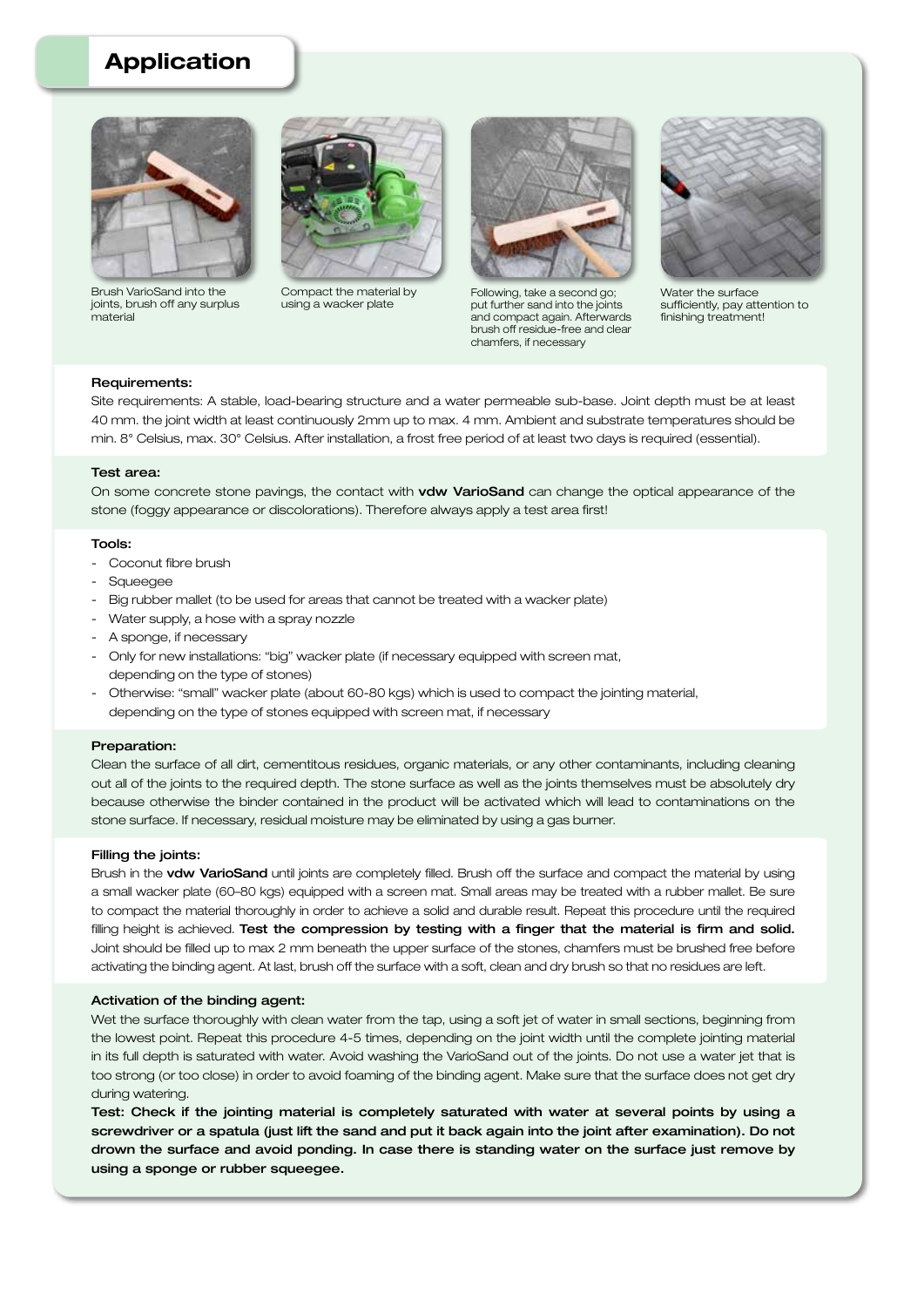## Application



Brush VarioSand into the joints, brush off any surplus material



Compact the material by using a wacker plate



Following, take a second go; put further sand into the joints and compact again. Afterwards brush off residue-free and clear chamfers, if necessary



Water the surface sufficiently, pay attention to finishing treatment!

#### Requirements:

Site requirements: A stable, load-bearing structure and a water permeable sub-base. Joint depth must be at least 40 mm. the joint width at least continuously 2mm up to max. 4 mm. Ambient and substrate temperatures should be min. 8° Celsius, max. 30° Celsius. After installation, a frost free period of at least two days is required (essential).

#### Test area:

On some concrete stone pavings, the contact with vdw VarioSand can change the optical appearance of the stone (foggy appearance or discolorations). Therefore always apply a test area first!

#### Tools:

- Coconut fibre brush
- Squeegee
- Big rubber mallet (to be used for areas that cannot be treated with a wacker plate)
- Water supply, a hose with a spray nozzle
- A sponge, if necessary
- Only for new installations: "big" wacker plate (if necessary equipped with screen mat, depending on the type of stones)
- Otherwise: "small" wacker plate (about 60-80 kgs) which is used to compact the jointing material, depending on the type of stones equipped with screen mat, if necessary

#### Preparation:

Clean the surface of all dirt, cementitous residues, organic materials, or any other contaminants, including cleaning out all of the joints to the required depth. The stone surface as well as the joints themselves must be absolutely dry because otherwise the binder contained in the product will be activated which will lead to contaminations on the stone surface. If necessary, residual moisture may be eliminated by using a gas burner.

#### Filling the joints:

Brush in the vdw VarioSand until joints are completely filled. Brush off the surface and compact the material by using a small wacker plate (60–80 kgs) equipped with a screen mat. Small areas may be treated with a rubber mallet. Be sure to compact the material thoroughly in order to achieve a solid and durable result. Repeat this procedure until the required filling height is achieved. Test the compression by testing with a finger that the material is firm and solid. Joint should be filled up to max 2 mm beneath the upper surface of the stones, chamfers must be brushed free before activating the binding agent. At last, brush off the surface with a soft, clean and dry brush so that no residues are left.

#### Activation of the binding agent:

Wet the surface thoroughly with clean water from the tap, using a soft jet of water in small sections, beginning from the lowest point. Repeat this procedure 4-5 times, depending on the joint width until the complete jointing material in its full depth is saturated with water. Avoid washing the VarioSand out of the joints. Do not use a water jet that is too strong (or too close) in order to avoid foaming of the binding agent. Make sure that the surface does not get dry during watering.

Test: Check if the jointing material is completely saturated with water at several points by using a screwdriver or a spatula (just lift the sand and put it back again into the joint after examination). Do not drown the surface and avoid ponding. In case there is standing water on the surface just remove by using a sponge or rubber squeegee.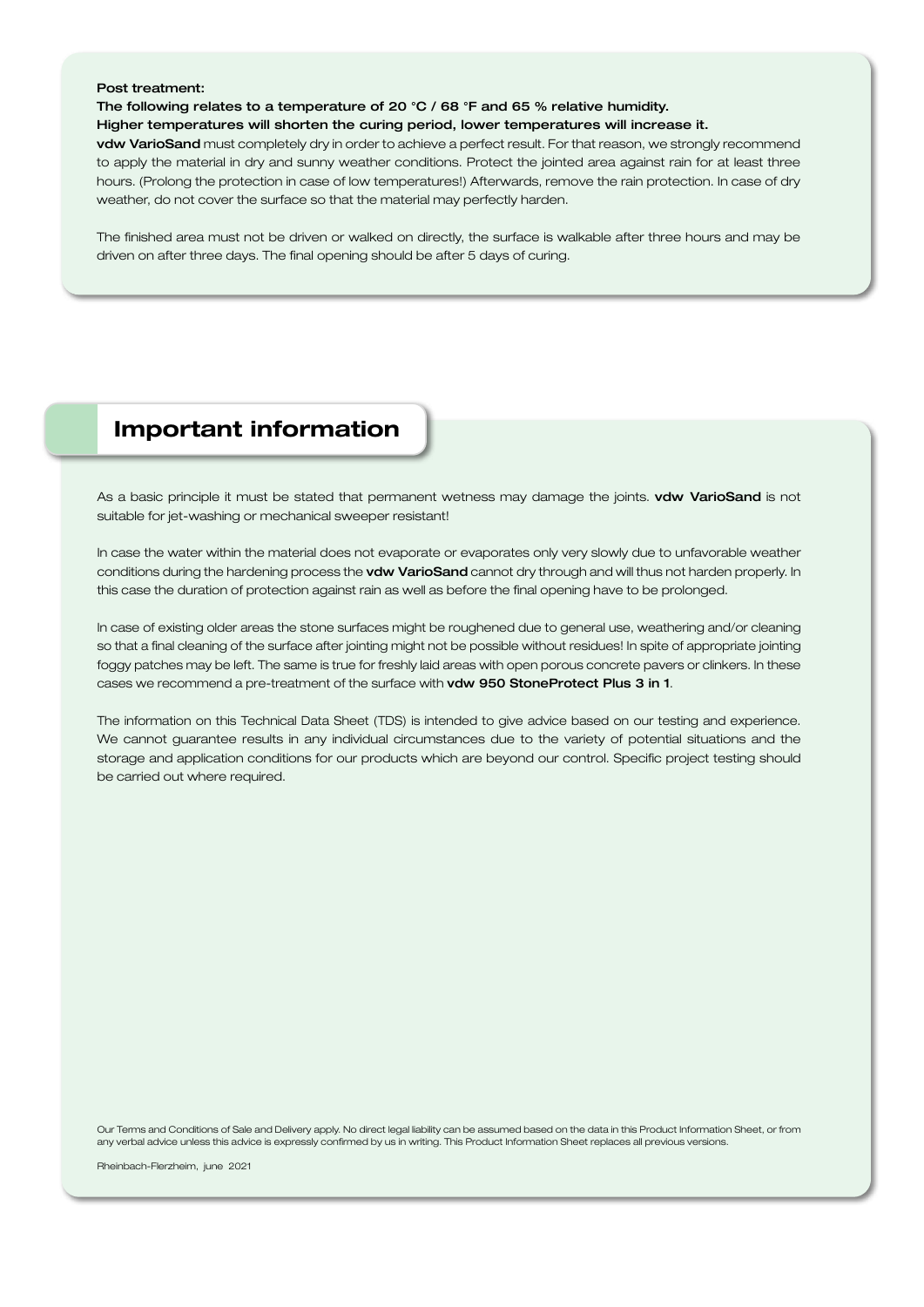#### Post treatment:

The following relates to a temperature of 20 °C / 68 °F and 65 % relative humidity.

#### Higher temperatures will shorten the curing period, lower temperatures will increase it.

vdw VarioSand must completely dry in order to achieve a perfect result. For that reason, we strongly recommend to apply the material in dry and sunny weather conditions. Protect the jointed area against rain for at least three hours. (Prolong the protection in case of low temperatures!) Afterwards, remove the rain protection. In case of dry weather, do not cover the surface so that the material may perfectly harden.

The finished area must not be driven or walked on directly, the surface is walkable after three hours and may be driven on after three days. The final opening should be after 5 days of curing.

## Important information

As a basic principle it must be stated that permanent wetness may damage the joints. vdw VarioSand is not suitable for jet-washing or mechanical sweeper resistant!

In case the water within the material does not evaporate or evaporates only very slowly due to unfavorable weather conditions during the hardening process the vdw VarioSand cannot dry through and will thus not harden properly. In this case the duration of protection against rain as well as before the final opening have to be prolonged.

In case of existing older areas the stone surfaces might be roughened due to general use, weathering and/or cleaning so that a final cleaning of the surface after jointing might not be possible without residues! In spite of appropriate jointing foggy patches may be left. The same is true for freshly laid areas with open porous concrete pavers or clinkers. In these cases we recommend a pre-treatment of the surface with vdw 950 StoneProtect Plus 3 in 1.

The information on this Technical Data Sheet (TDS) is intended to give advice based on our testing and experience. We cannot guarantee results in any individual circumstances due to the variety of potential situations and the storage and application conditions for our products which are beyond our control. Specific project testing should be carried out where required.

Our Terms and Conditions of Sale and Delivery apply. No direct legal liability can be assumed based on the data in this Product Information Sheet, or from any verbal advice unless this advice is expressly confirmed by us in writing. This Product Information Sheet replaces all previous versions.

Rheinbach-Flerzheim, june 2021